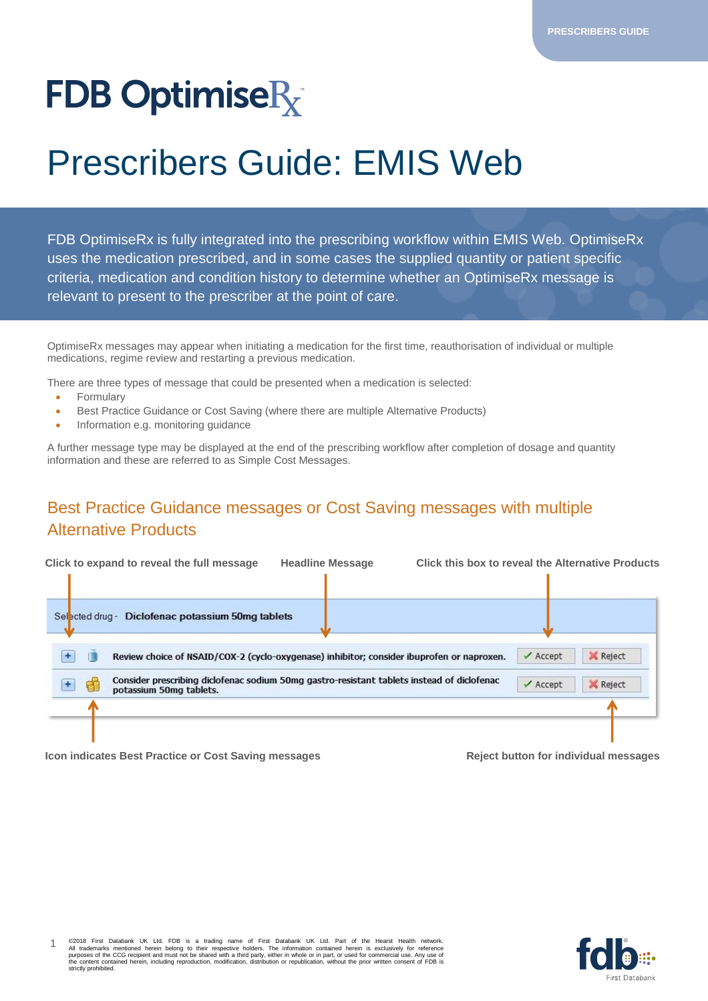# **FDB OptimiseR**

## Prescribers Guide: EMIS Web

FDB OptimiseRx is fully integrated into the prescribing workflow within EMIS Web. OptimiseRx uses the medication prescribed, and in some cases the supplied quantity or patient specific criteria, medication and condition history to determine whether an OptimiseRx message is relevant to present to the prescriber at the point of care.

OptimiseRx messages may appear when initiating a medication for the first time, reauthorisation of individual or multiple medications, regime review and restarting a previous medication.

There are three types of message that could be presented when a medication is selected:

- **Formulary**
- Best Practice Guidance or Cost Saving (where there are multiple Alternative Products)
- Information e.g. monitoring guidance

A further message type may be displayed at the end of the prescribing workflow after completion of dosage and quantity information and these are referred to as Simple Cost Messages.

#### Best Practice Guidance messages or Cost Saving messages with multiple Alternative Products

| <b>Headline Message</b> |                                                   |                                                                                                                                                                                         |                                                   |
|-------------------------|---------------------------------------------------|-----------------------------------------------------------------------------------------------------------------------------------------------------------------------------------------|---------------------------------------------------|
|                         |                                                   |                                                                                                                                                                                         |                                                   |
|                         |                                                   |                                                                                                                                                                                         |                                                   |
|                         |                                                   | $\angle$ Accept                                                                                                                                                                         | <b>X</b> Reject                                   |
|                         |                                                   | $\angle$ Accept                                                                                                                                                                         | <b>X</b> Reject                                   |
|                         |                                                   |                                                                                                                                                                                         |                                                   |
|                         | Selected drug - Diclofenac potassium 50mg tablets | Review choice of NSAID/COX-2 (cyclo-oxygenase) inhibitor; consider ibuprofen or naproxen.<br>Consider prescribing diclofenac sodium 50mg gastro-resistant tablets instead of diclofenac | Click this box to reveal the Alternative Products |

**Icon indicates Best Practice or Cost Saving messages <b>Reject button for individual messages Reject button for individual messages** 



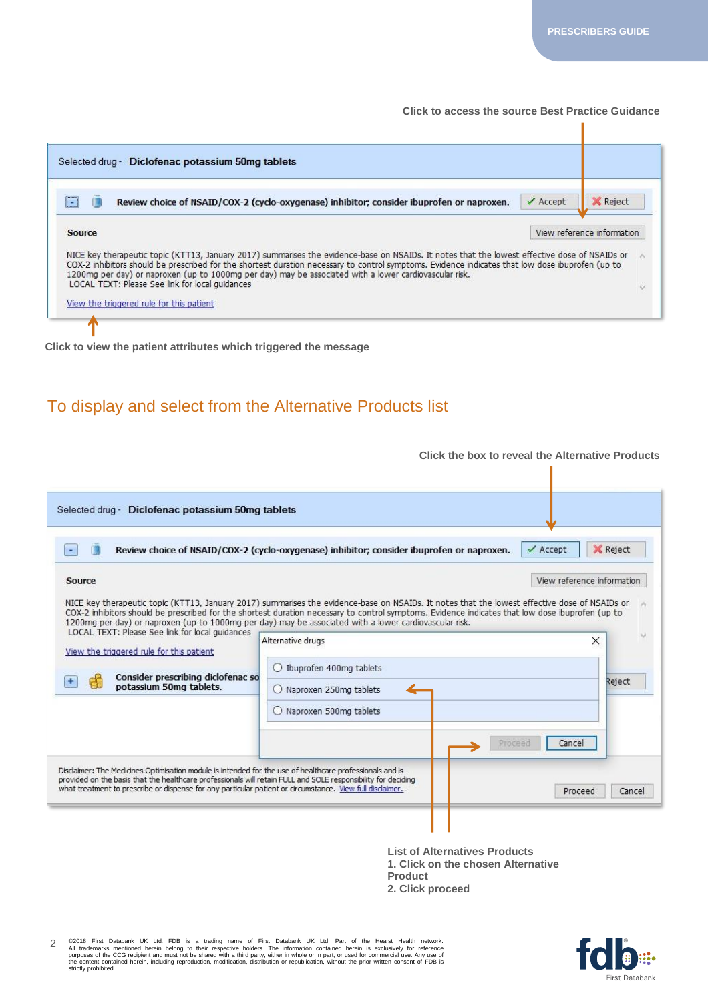п

#### **Click to access the source Best Practice Guidance**

|               | Review choice of NSAID/COX-2 (cyclo-oxygenase) inhibitor; consider ibuprofen or naproxen.                                                                                                                                                                                                                                                                                                                   | $\angle$ Accept | <b>X</b> Reject            |
|---------------|-------------------------------------------------------------------------------------------------------------------------------------------------------------------------------------------------------------------------------------------------------------------------------------------------------------------------------------------------------------------------------------------------------------|-----------------|----------------------------|
| <b>Source</b> |                                                                                                                                                                                                                                                                                                                                                                                                             |                 | View reference information |
|               | NICE key therapeutic topic (KTT13, January 2017) summarises the evidence-base on NSAIDs. It notes that the lowest effective dose of NSAIDs or<br>COX-2 inhibitors should be prescribed for the shortest duration necessary to control symptoms. Evidence indicates that low dose ibuprofen (up to<br>1200mg per day) or naproxen (up to 1000mg per day) may be associated with a lower cardiovascular risk. |                 |                            |

**Click to view the patient attributes which triggered the message**

#### To display and select from the Alternative Products list

| $\blacksquare$                                                                                                                                                                                                                                                                                                                         | Review choice of NSAID/COX-2 (cyclo-oxygenase) inhibitor; consider ibuprofen or naproxen.                                                                                                                                                                                                                                                                                                                                                                                                   | <b>X</b> Reject<br>$\angle$ Accept        |
|----------------------------------------------------------------------------------------------------------------------------------------------------------------------------------------------------------------------------------------------------------------------------------------------------------------------------------------|---------------------------------------------------------------------------------------------------------------------------------------------------------------------------------------------------------------------------------------------------------------------------------------------------------------------------------------------------------------------------------------------------------------------------------------------------------------------------------------------|-------------------------------------------|
| Source<br>LOCAL TEXT: Please See link for local quidances<br>View the triggered rule for this patient<br>Consider prescribing diclofenac so<br>potassium 50mg tablets.                                                                                                                                                                 | NICE key therapeutic topic (KTT13, January 2017) summarises the evidence-base on NSAIDs. It notes that the lowest effective dose of NSAIDs or<br>COX-2 inhibitors should be prescribed for the shortest duration necessary to control symptoms. Evidence indicates that low dose ibuprofen (up to<br>1200mg per day) or naproxen (up to 1000mg per day) may be associated with a lower cardiovascular risk.<br>Alternative drugs<br>$O$ Ibuprofen 400mg tablets<br>O Naproxen 250mg tablets | View reference information<br>×<br>Reject |
| Disclaimer: The Medicines Optimisation module is intended for the use of healthcare professionals and is<br>provided on the basis that the healthcare professionals will retain FULL and SOLE responsibility for deciding<br>what treatment to prescribe or dispense for any particular patient or circumstance. View full disclaimer, | O Naproxen 500mg tablets                                                                                                                                                                                                                                                                                                                                                                                                                                                                    | Cancel<br>Proceed                         |

**1. Click on the chosen Alternative Product**

**2. Click proceed**

© 2018 First Databank UK Ltd. FDB is a trading name of First Databank UK Ltd. Part of the Hearst Health network.<br>All trademarks mentioned herein belong to their respective holders. The information contained herein is excl

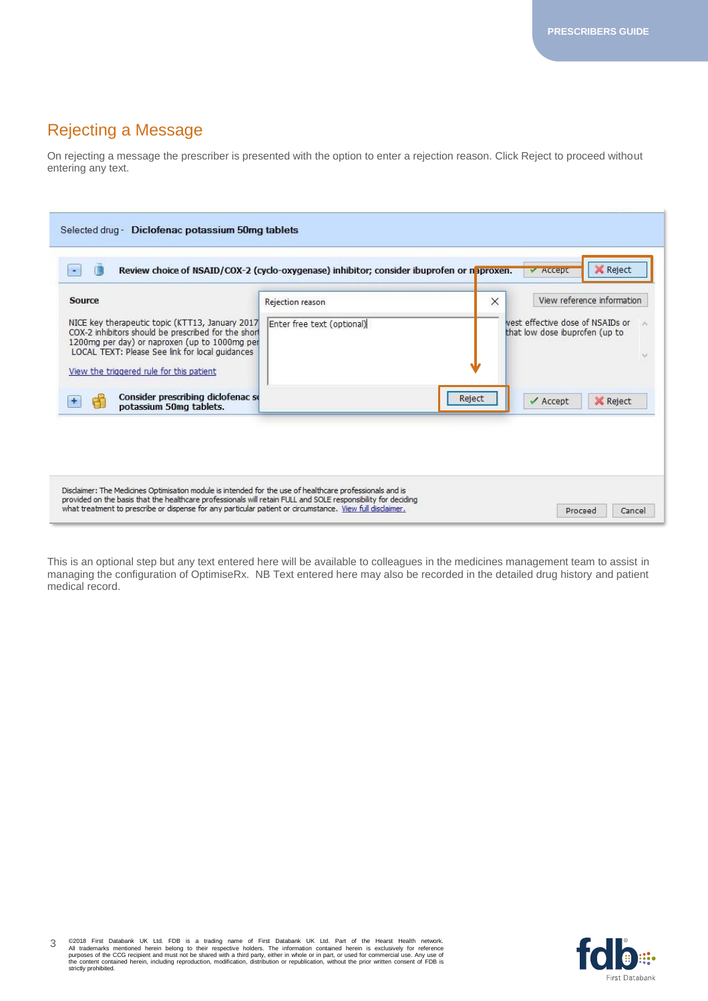### Rejecting a Message

On rejecting a message the prescriber is presented with the option to enter a rejection reason. Click Reject to proceed without entering any text.

| Source                                                                                                                                                                                                                                                  | Rejection reason           | $\times$ | View reference information                                         |
|---------------------------------------------------------------------------------------------------------------------------------------------------------------------------------------------------------------------------------------------------------|----------------------------|----------|--------------------------------------------------------------------|
| NICE key therapeutic topic (KTT13, January 2017)<br>COX-2 inhibitors should be prescribed for the short<br>1200mg per day) or naproxen (up to 1000mg per<br>LOCAL TEXT: Please See link for local guidances<br>View the triggered rule for this patient | Enter free text (optional) |          | west effective dose of NSAIDs or<br>that low dose ibuprofen (up to |
| Consider prescribing diclofenac so<br>potassium 50mg tablets.                                                                                                                                                                                           |                            | Reject   | <b>X</b> Reject<br>$\angle$ Accept                                 |

This is an optional step but any text entered here will be available to colleagues in the medicines management team to assist in managing the configuration of OptimiseRx. NB Text entered here may also be recorded in the detailed drug history and patient medical record.

3 ©2018 First Databank UK Ltd. FDB is a trading name of First Databank UK Ltd. Part of the Hearst Health network.<br>All trademarks mentioned herein belong to their respective holders. The information contained herein is exclus

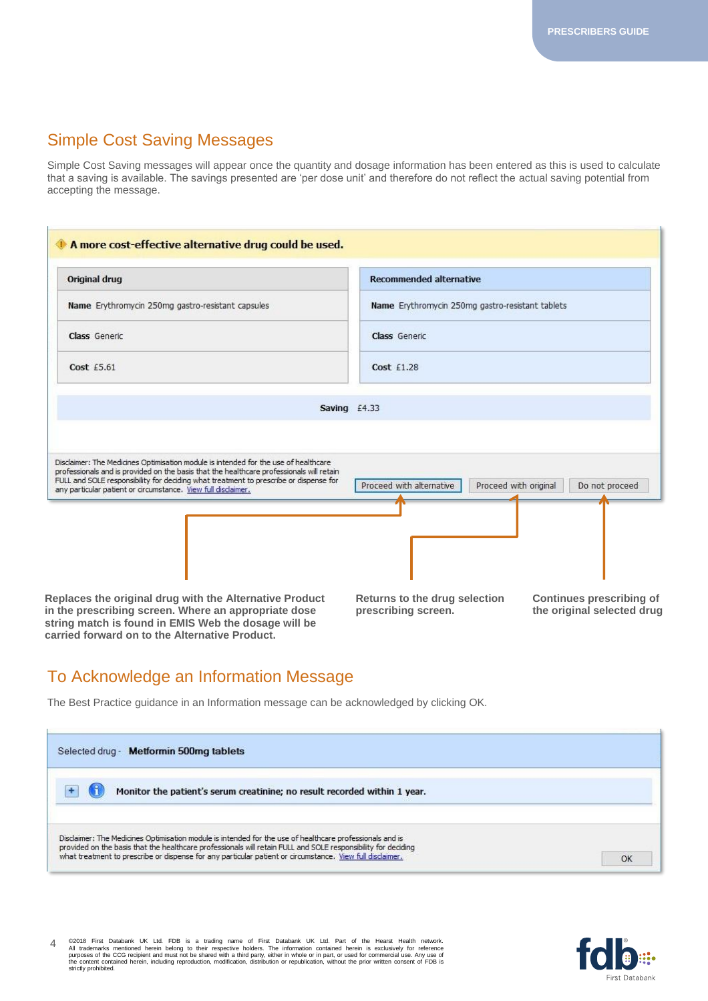#### Simple Cost Saving Messages

Simple Cost Saving messages will appear once the quantity and dosage information has been entered as this is used to calculate that a saving is available. The savings presented are 'per dose unit' and therefore do not reflect the actual saving potential from accepting the message.

| Original drug                                                                                                                                                                                                                                                                                                                             | <b>Recommended alternative</b>                                      |
|-------------------------------------------------------------------------------------------------------------------------------------------------------------------------------------------------------------------------------------------------------------------------------------------------------------------------------------------|---------------------------------------------------------------------|
| Name Erythromycin 250mg gastro-resistant capsules                                                                                                                                                                                                                                                                                         | Name Erythromycin 250mg gastro-resistant tablets                    |
| Class Generic                                                                                                                                                                                                                                                                                                                             | Class Generic                                                       |
| Cost $£5.61$                                                                                                                                                                                                                                                                                                                              | Cost $£1.28$                                                        |
| Saving £4.33                                                                                                                                                                                                                                                                                                                              |                                                                     |
|                                                                                                                                                                                                                                                                                                                                           |                                                                     |
| Disclaimer: The Medicines Optimisation module is intended for the use of healthcare<br>professionals and is provided on the basis that the healthcare professionals will retain<br>FULL and SOLE responsibility for deciding what treatment to prescribe or dispense for<br>any particular patient or circumstance. View full disclaimer. | Proceed with alternative<br>Proceed with original<br>Do not proceed |

**in the prescribing screen. Where an appropriate dose string match is found in EMIS Web the dosage will be carried forward on to the Alternative Product.**

**prescribing screen.** 

**the original selected drug** 

#### To Acknowledge an Information Message

The Best Practice guidance in an Information message can be acknowledged by clicking OK.

| Selected drug - Metformin 500mg tablets                                                                                                                                                                                                                                                                                                |  |
|----------------------------------------------------------------------------------------------------------------------------------------------------------------------------------------------------------------------------------------------------------------------------------------------------------------------------------------|--|
| Monitor the patient's serum creatinine; no result recorded within 1 year.                                                                                                                                                                                                                                                              |  |
| Disclaimer: The Medicines Optimisation module is intended for the use of healthcare professionals and is<br>provided on the basis that the healthcare professionals will retain FULL and SOLE responsibility for deciding<br>what treatment to prescribe or dispense for any particular patient or circumstance. View full disclaimer. |  |

4 ©2018 First Databank UK Ltd. FDB is a trading name of First Databank UK Ltd. Part of the Hearst Health network.<br>All trademarks mentioned herein belong to their respective holders. The information contained herein is exclus